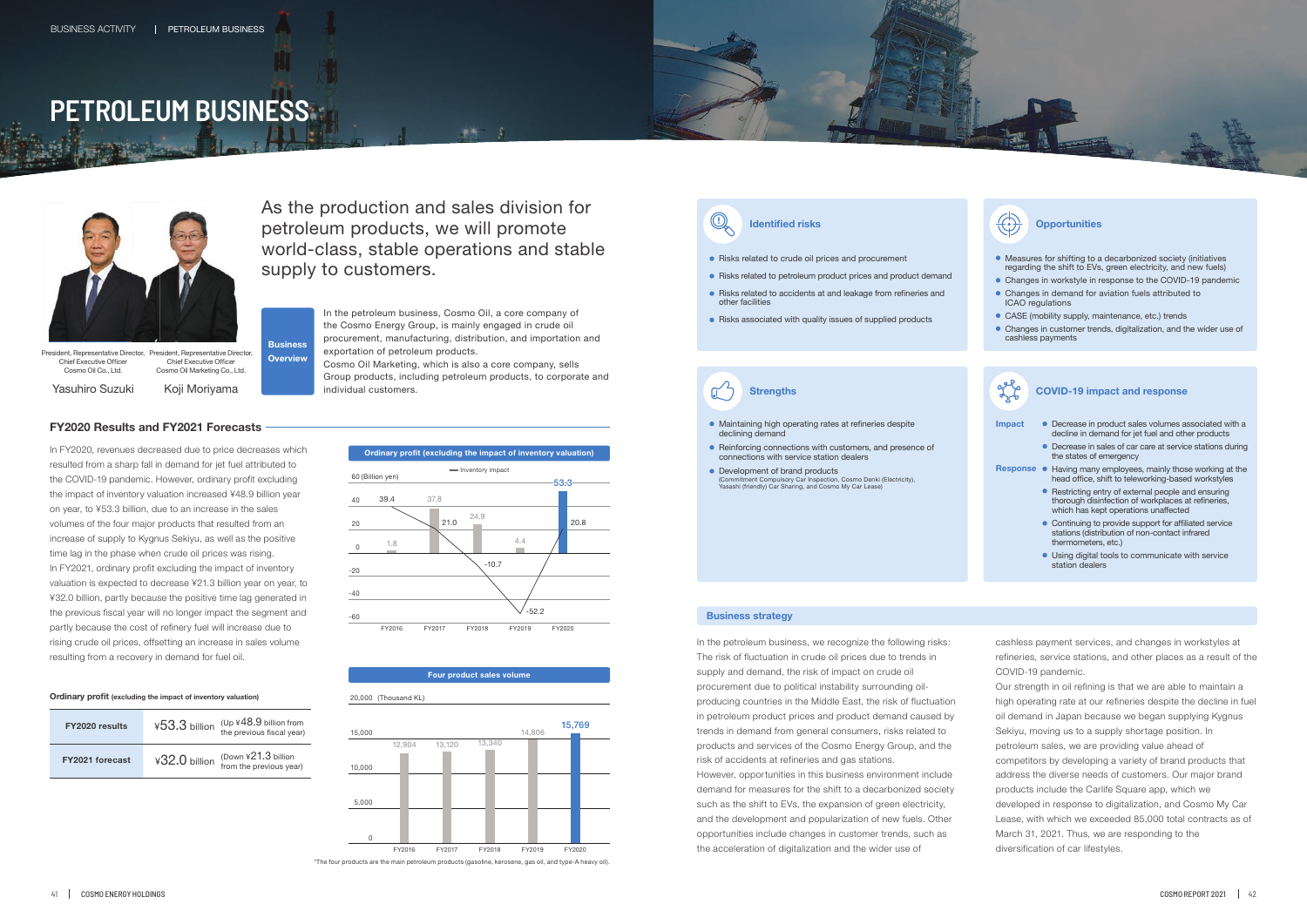- Risks related to crude oil prices and procurement
- Risks related to petroleum product prices and product demand
- Risks related to accidents at and leakage from refineries and other facilities
- Risks associated with quality issues of supplied products

- Measures for shifting to a decarbonized society (initiatives regarding the shift to EVs, green electricity, and new fuels)
- Changes in workstyle in response to the COVID-19 pandemic Changes in demand for aviation fuels attributed to
- ICAO regulations
- CASE (mobility supply, maintenance, etc.) trends
- Changes in customer trends, digitalization, and the wider use of cashless payments

- Maintaining high operating rates at refineries despite declining demand
- Reinforcing connections with customers, and presence of connections with service station dealers
- Development of brand products (Commitment Compulsory Car Inspection, Cosmo Denki (Electricity), Yasashi (friendly) Car Sharing, and Cosmo My Car Lease)

**Strengths**

 $\mathbb{C}$ 



As the production and sales division for petroleum products, we will promote world-class, stable operations and stable supply to customers.

**Business** 

**Overview**

In the petroleum business, Cosmo Oil, a core company of the Cosmo Energy Group, is mainly engaged in crude oil procurement, manufacturing, distribution, and importation and exportation of petroleum products.

Cosmo Oil Marketing, which is also a core company, sells Group products, including petroleum products, to corporate and individual customers.

## **FY2020 Results and FY2021 Forecasts**



#### **Four product sales volume**

| FY2020 results         | ¥53.3 billion | $(Up \times 48.9)$ billion from<br>the previous fiscal year) |
|------------------------|---------------|--------------------------------------------------------------|
| <b>FY2021 forecast</b> | ¥32.0 billion | (Down $421.3$ billion<br>from the previous year)             |

Yasuhiro Suzuki

President, Representative Director, Chief Executive Officer Cosmo Oil Co., Ltd. sident, Representative Director, Chief Executive Officer Cosmo Oil Marketing Co., Ltd.

Koji Moriyama

### **Business strategy**

In FY2020, revenues decreased due to price decreases which resulted from a sharp fall in demand for jet fuel attributed to the COVID-19 pandemic. However, ordinary profit excluding the impact of inventory valuation increased ¥48.9 billion year on year, to ¥53.3 billion, due to an increase in the sales volumes of the four major products that resulted from an increase of supply to Kygnus Sekiyu, as well as the positive time lag in the phase when crude oil prices was rising. In FY2021, ordinary profit excluding the impact of inventory valuation is expected to decrease ¥21.3 billion year on year, to ¥32.0 billion, partly because the positive time lag generated in the previous fiscal year will no longer impact the segment and partly because the cost of refinery fuel will increase due to rising crude oil prices, offsetting an increase in sales volume resulting from a recovery in demand for fuel oil.

#### **Ordinary profit (excluding the impact of inventory valuation)**



**Identified risks** *Identified risks Identified risks Identifies* 

In the petroleum business, we recognize the following risks: The risk of fluctuation in crude oil prices due to trends in supply and demand, the risk of impact on crude oil procurement due to political instability surrounding oilproducing countries in the Middle East, the risk of fluctuation in petroleum product prices and product demand caused by trends in demand from general consumers, risks related to products and services of the Cosmo Energy Group, and the risk of accidents at refineries and gas stations. However, opportunities in this business environment include demand for measures for the shift to a decarbonized society such as the shift to EVs, the expansion of green electricity, and the development and popularization of new fuels. Other opportunities include changes in customer trends, such as the acceleration of digitalization and the wider use of





cashless payment services, and changes in workstyles at refineries, service stations, and other places as a result of the COVID-19 pandemic.

Our strength in oil refining is that we are able to maintain a high operating rate at our refineries despite the decline in fuel oil demand in Japan because we began supplying Kygnus Sekiyu, moving us to a supply shortage position. In petroleum sales, we are providing value ahead of competitors by developing a variety of brand products that address the diverse needs of customers. Our major brand products include the Carlife Square app, which we developed in response to digitalization, and Cosmo My Car Lease, with which we exceeded 85,000 total contracts as of March 31, 2021. Thus, we are responding to the diversification of car lifestyles.

# **PETROLEUM BUSINESS**